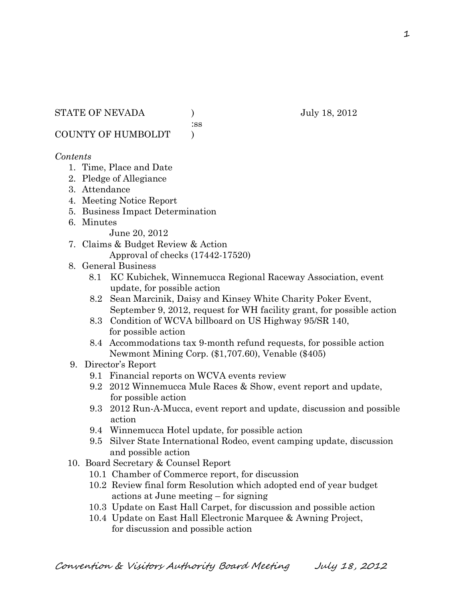:ss

COUNTY OF HUMBOLDT )

### *Contents*

- 1. Time, Place and Date
- 2. Pledge of Allegiance
- 3. Attendance
- 4. Meeting Notice Report
- 5. Business Impact Determination
- 6. Minutes

June 20, 2012

- 7. Claims & Budget Review & Action Approval of checks (17442-17520)
- 8. General Business
	- 8.1 KC Kubichek, Winnemucca Regional Raceway Association, event update, for possible action
	- 8.2 Sean Marcinik, Daisy and Kinsey White Charity Poker Event, September 9, 2012, request for WH facility grant, for possible action
	- 8.3 Condition of WCVA billboard on US Highway 95/SR 140, for possible action
	- 8.4 Accommodations tax 9-month refund requests, for possible action Newmont Mining Corp. (\$1,707.60), Venable (\$405)
- 9. Director's Report
	- 9.1 Financial reports on WCVA events review
	- 9.2 2012 Winnemucca Mule Races & Show, event report and update, for possible action
	- 9.3 2012 Run-A-Mucca, event report and update, discussion and possible action
	- 9.4 Winnemucca Hotel update, for possible action
	- 9.5 Silver State International Rodeo, event camping update, discussion and possible action
- 10. Board Secretary & Counsel Report
	- 10.1 Chamber of Commerce report, for discussion
	- 10.2 Review final form Resolution which adopted end of year budget actions at June meeting – for signing
	- 10.3 Update on East Hall Carpet, for discussion and possible action
	- 10.4 Update on East Hall Electronic Marquee & Awning Project, for discussion and possible action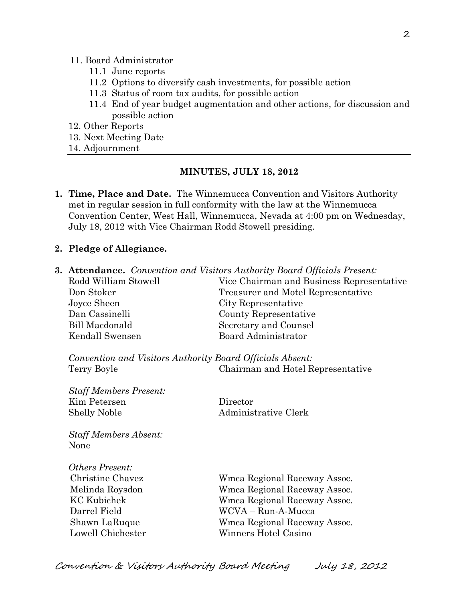#### 11. Board Administrator

- 11.1 June reports
- 11.2 Options to diversify cash investments, for possible action
- 11.3 Status of room tax audits, for possible action
- 11.4 End of year budget augmentation and other actions, for discussion and possible action
- 12. Other Reports
- 13. Next Meeting Date
- 14. Adjournment

#### **MINUTES, JULY 18, 2012**

- **1. Time, Place and Date.** The Winnemucca Convention and Visitors Authority met in regular session in full conformity with the law at the Winnemucca Convention Center, West Hall, Winnemucca, Nevada at 4:00 pm on Wednesday, July 18, 2012 with Vice Chairman Rodd Stowell presiding.
- **2. Pledge of Allegiance.**
- **3. Attendance.** *Convention and Visitors Authority Board Officials Present:*

| Rodd William Stowell | Vice Chairman and Business Representative |  |
|----------------------|-------------------------------------------|--|
| Don Stoker           | Treasurer and Motel Representative        |  |
| Joyce Sheen          | City Representative                       |  |
| Dan Cassinelli       | County Representative                     |  |
| Bill Macdonald       | Secretary and Counsel                     |  |
| Kendall Swensen      | Board Administrator                       |  |

*Convention and Visitors Authority Board Officials Absent:* Terry Boyle Chairman and Hotel Representative

| <b>Staff Members Present:</b> |  |
|-------------------------------|--|
| Kim Petersen                  |  |
| <b>Shelly Noble</b>           |  |

Director Administrative Clerk

*Staff Members Absent:* None

*Others Present:*

 Christine Chavez Wmca Regional Raceway Assoc. Melinda Roysdon Wmca Regional Raceway Assoc. KC Kubichek Wmca Regional Raceway Assoc. Darrel Field WCVA – Run-A-Mucca Shawn LaRuque Wmca Regional Raceway Assoc. Lowell Chichester Winners Hotel Casino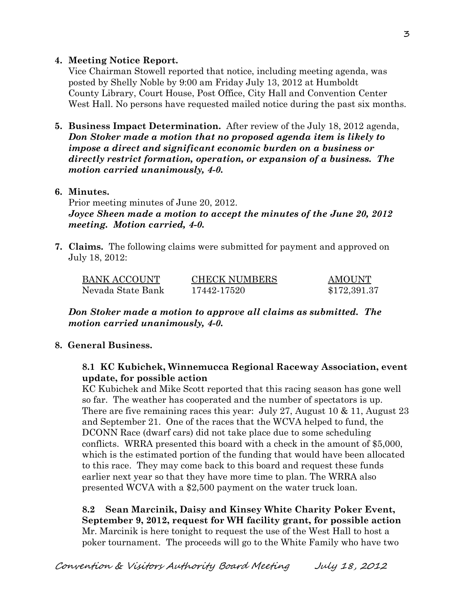## **4. Meeting Notice Report.**

Vice Chairman Stowell reported that notice, including meeting agenda, was posted by Shelly Noble by 9:00 am Friday July 13, 2012 at Humboldt County Library, Court House, Post Office, City Hall and Convention Center West Hall. No persons have requested mailed notice during the past six months.

**5. Business Impact Determination.** After review of the July 18, 2012 agenda, *Don Stoker made a motion that no proposed agenda item is likely to impose a direct and significant economic burden on a business or directly restrict formation, operation, or expansion of a business. The motion carried unanimously, 4-0.* 

## **6. Minutes.**

Prior meeting minutes of June 20, 2012. *Joyce Sheen made a motion to accept the minutes of the June 20, 2012 meeting. Motion carried, 4-0.* 

**7. Claims.** The following claims were submitted for payment and approved on July 18, 2012:

| <b>BANK ACCOUNT</b> | <b>CHECK NUMBERS</b> | AMOUNT       |
|---------------------|----------------------|--------------|
| Nevada State Bank   | 17442-17520          | \$172,391.37 |

*Don Stoker made a motion to approve all claims as submitted. The motion carried unanimously, 4-0.*

# **8. General Business.**

## **8.1 KC Kubichek, Winnemucca Regional Raceway Association, event update, for possible action**

KC Kubichek and Mike Scott reported that this racing season has gone well so far. The weather has cooperated and the number of spectators is up. There are five remaining races this year: July 27, August 10  $\&$  11, August 23 and September 21. One of the races that the WCVA helped to fund, the DCONN Race (dwarf cars) did not take place due to some scheduling conflicts. WRRA presented this board with a check in the amount of \$5,000, which is the estimated portion of the funding that would have been allocated to this race. They may come back to this board and request these funds earlier next year so that they have more time to plan. The WRRA also presented WCVA with a \$2,500 payment on the water truck loan.

**8.2 Sean Marcinik, Daisy and Kinsey White Charity Poker Event, September 9, 2012, request for WH facility grant, for possible action** Mr. Marcinik is here tonight to request the use of the West Hall to host a poker tournament. The proceeds will go to the White Family who have two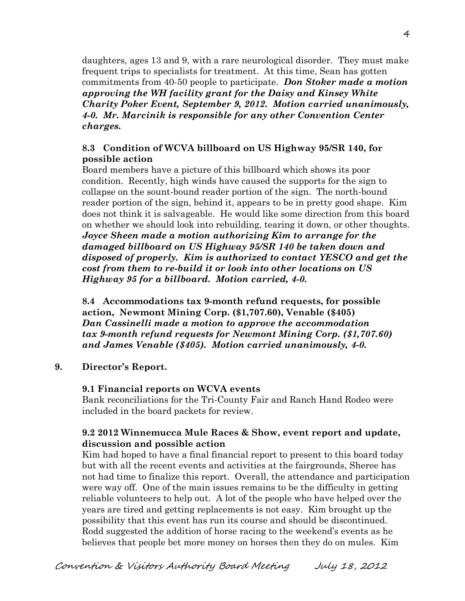daughters, ages 13 and 9, with a rare neurological disorder. They must make frequent trips to specialists for treatment. At this time, Sean has gotten commitments from 40-50 people to participate. *Don Stoker made a motion approving the WH facility grant for the Daisy and Kinsey White Charity Poker Event, September 9, 2012. Motion carried unanimously, 4-0. Mr. Marcinik is responsible for any other Convention Center charges.*

## **8.3 Condition of WCVA billboard on US Highway 95/SR 140, for possible action**

Board members have a picture of this billboard which shows its poor condition. Recently, high winds have caused the supports for the sign to collapse on the sount-bound reader portion of the sign. The north-bound reader portion of the sign, behind it, appears to be in pretty good shape. Kim does not think it is salvageable. He would like some direction from this board on whether we should look into rebuilding, tearing it down, or other thoughts. *Joyce Sheen made a motion authorizing Kim to arrange for the damaged billboard on US Highway 95/SR 140 be taken down and disposed of properly. Kim is authorized to contact YESCO and get the cost from them to re-build it or look into other locations on US Highway 95 for a billboard. Motion carried, 4-0.* 

**8.4 Accommodations tax 9-month refund requests, for possible action, Newmont Mining Corp. (\$1,707.60), Venable (\$405)** *Dan Cassinelli made a motion to approve the accommodation tax 9-month refund requests for Newmont Mining Corp. (\$1,707.60) and James Venable (\$405). Motion carried unanimously, 4-0.*

### **9. Director's Report.**

### **9.1 Financial reports on WCVA events**

Bank reconciliations for the Tri-County Fair and Ranch Hand Rodeo were included in the board packets for review.

## **9.2 2012 Winnemucca Mule Races & Show, event report and update, discussion and possible action**

Kim had hoped to have a final financial report to present to this board today but with all the recent events and activities at the fairgrounds, Sheree has not had time to finalize this report. Overall, the attendance and participation were way off. One of the main issues remains to be the difficulty in getting reliable volunteers to help out. A lot of the people who have helped over the years are tired and getting replacements is not easy. Kim brought up the possibility that this event has run its course and should be discontinued. Rodd suggested the addition of horse racing to the weekend's events as he believes that people bet more money on horses then they do on mules. Kim

Convention & Visitors Authority Board Meeting July 18, 2012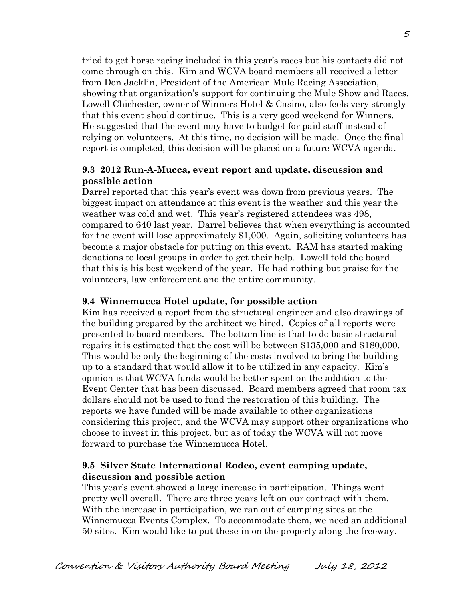tried to get horse racing included in this year's races but his contacts did not come through on this. Kim and WCVA board members all received a letter from Don Jacklin, President of the American Mule Racing Association, showing that organization's support for continuing the Mule Show and Races. Lowell Chichester, owner of Winners Hotel & Casino, also feels very strongly that this event should continue. This is a very good weekend for Winners. He suggested that the event may have to budget for paid staff instead of relying on volunteers. At this time, no decision will be made. Once the final report is completed, this decision will be placed on a future WCVA agenda.

#### **9.3 2012 Run-A-Mucca, event report and update, discussion and possible action**

Darrel reported that this year's event was down from previous years. The biggest impact on attendance at this event is the weather and this year the weather was cold and wet. This year's registered attendees was 498, compared to 640 last year. Darrel believes that when everything is accounted for the event will lose approximately \$1,000. Again, soliciting volunteers has become a major obstacle for putting on this event. RAM has started making donations to local groups in order to get their help. Lowell told the board that this is his best weekend of the year. He had nothing but praise for the volunteers, law enforcement and the entire community.

#### **9.4 Winnemucca Hotel update, for possible action**

Kim has received a report from the structural engineer and also drawings of the building prepared by the architect we hired. Copies of all reports were presented to board members. The bottom line is that to do basic structural repairs it is estimated that the cost will be between \$135,000 and \$180,000. This would be only the beginning of the costs involved to bring the building up to a standard that would allow it to be utilized in any capacity. Kim's opinion is that WCVA funds would be better spent on the addition to the Event Center that has been discussed. Board members agreed that room tax dollars should not be used to fund the restoration of this building. The reports we have funded will be made available to other organizations considering this project, and the WCVA may support other organizations who choose to invest in this project, but as of today the WCVA will not move forward to purchase the Winnemucca Hotel.

### **9.5 Silver State International Rodeo, event camping update, discussion and possible action**

This year's event showed a large increase in participation. Things went pretty well overall. There are three years left on our contract with them. With the increase in participation, we ran out of camping sites at the Winnemucca Events Complex. To accommodate them, we need an additional 50 sites. Kim would like to put these in on the property along the freeway.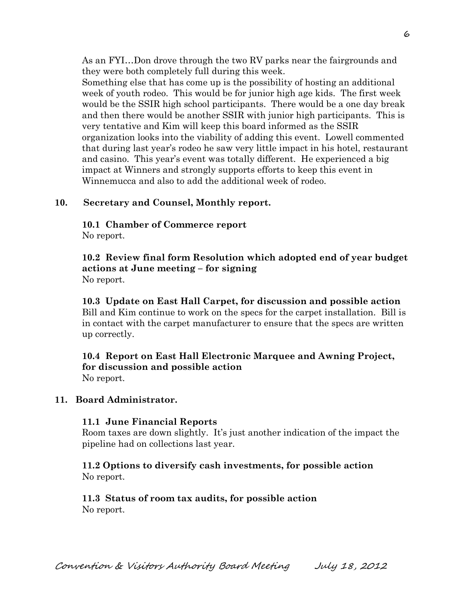As an FYI…Don drove through the two RV parks near the fairgrounds and they were both completely full during this week.

Something else that has come up is the possibility of hosting an additional week of youth rodeo. This would be for junior high age kids. The first week would be the SSIR high school participants. There would be a one day break and then there would be another SSIR with junior high participants. This is very tentative and Kim will keep this board informed as the SSIR organization looks into the viability of adding this event. Lowell commented that during last year's rodeo he saw very little impact in his hotel, restaurant and casino. This year's event was totally different. He experienced a big impact at Winners and strongly supports efforts to keep this event in Winnemucca and also to add the additional week of rodeo.

### **10. Secretary and Counsel, Monthly report.**

**10.1 Chamber of Commerce report** No report.

**10.2 Review final form Resolution which adopted end of year budget actions at June meeting – for signing** No report.

**10.3 Update on East Hall Carpet, for discussion and possible action** Bill and Kim continue to work on the specs for the carpet installation. Bill is in contact with the carpet manufacturer to ensure that the specs are written up correctly.

### **10.4 Report on East Hall Electronic Marquee and Awning Project, for discussion and possible action** No report.

#### **11. Board Administrator.**

#### **11.1 June Financial Reports**

Room taxes are down slightly. It's just another indication of the impact the pipeline had on collections last year.

### **11.2 Options to diversify cash investments, for possible action** No report.

#### **11.3 Status of room tax audits, for possible action** No report.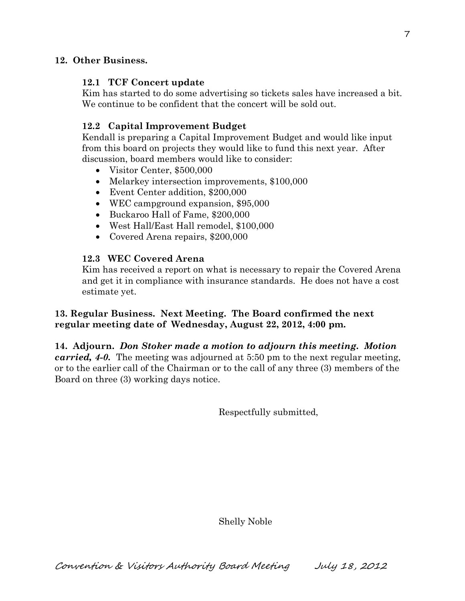## **12. Other Business.**

### **12.1 TCF Concert update**

Kim has started to do some advertising so tickets sales have increased a bit. We continue to be confident that the concert will be sold out.

# **12.2 Capital Improvement Budget**

Kendall is preparing a Capital Improvement Budget and would like input from this board on projects they would like to fund this next year. After discussion, board members would like to consider:

- Visitor Center, \$500,000
- Melarkey intersection improvements, \$100,000
- Event Center addition, \$200,000
- WEC campground expansion, \$95,000
- Buckaroo Hall of Fame, \$200,000
- West Hall/East Hall remodel, \$100,000
- Covered Arena repairs, \$200,000

## **12.3 WEC Covered Arena**

Kim has received a report on what is necessary to repair the Covered Arena and get it in compliance with insurance standards. He does not have a cost estimate yet.

## **13. Regular Business. Next Meeting. The Board confirmed the next regular meeting date of Wednesday, August 22, 2012, 4:00 pm.**

**14. Adjourn.** *Don Stoker made a motion to adjourn this meeting. Motion carried, 4-0.* The meeting was adjourned at 5:50 pm to the next regular meeting, or to the earlier call of the Chairman or to the call of any three (3) members of the Board on three (3) working days notice.

Respectfully submitted,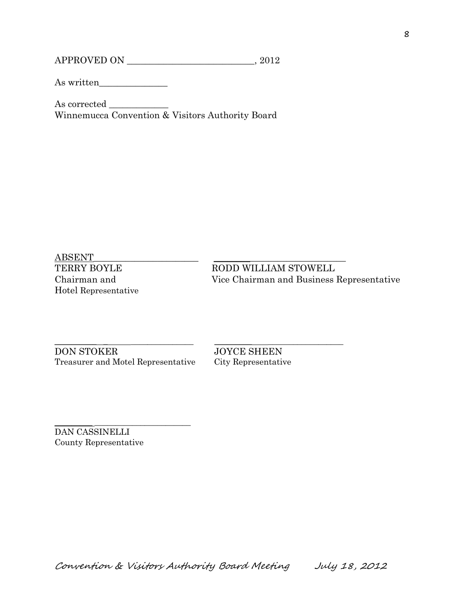APPROVED ON \_\_\_\_\_\_\_\_\_\_\_\_\_\_\_\_\_\_\_\_\_\_\_\_\_\_\_\_, 2012

As written\_\_\_\_\_\_\_\_\_\_\_\_\_\_\_

As corrected \_\_\_\_\_\_\_\_\_\_\_\_\_ Winnemucca Convention & Visitors Authority Board

ABSENT\_\_\_\_\_\_\_\_\_\_\_\_\_\_\_\_\_\_\_\_\_\_\_ \_\_\_\_\_\_\_\_\_\_\_\_\_\_\_\_\_\_\_\_\_\_\_\_\_\_\_\_\_ Hotel Representative

TERRY BOYLE RODD WILLIAM STOWELL Chairman and Vice Chairman and Business Representative

DON STOKER JOYCE SHEEN Treasurer and Motel Representative City Representative

\_\_\_\_\_\_\_\_\_\_ \_ \_\_\_\_\_\_\_\_\_\_\_\_\_\_\_ \_\_\_\_\_\_\_\_\_ \_\_\_\_\_\_\_\_\_\_\_\_\_\_\_\_\_\_

 $\overline{\phantom{a}}$  , and the set of the set of the set of the set of the set of the set of the set of the set of the set of the set of the set of the set of the set of the set of the set of the set of the set of the set of the s DAN CASSINELLI County Representative